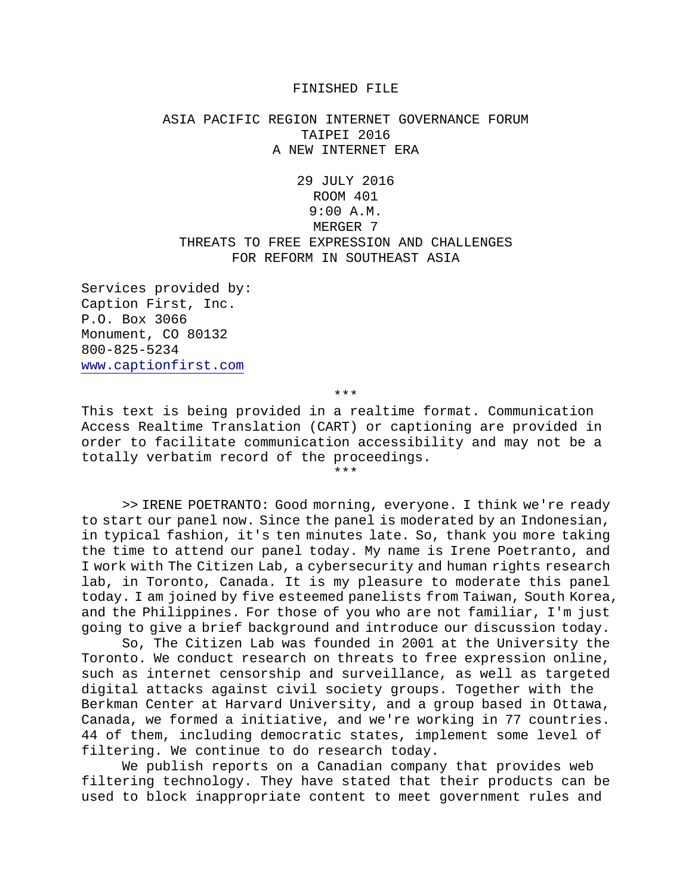## FINISHED FILE

## ASIA PACIFIC REGION INTERNET GOVERNANCE FORUM TAIPEI 2016 A NEW INTERNET ERA

29 JULY 2016 ROOM 401 9:00 A.M. MERGER<sub>7</sub> THREATS TO FREE EXPRESSION AND CHALLENGES FOR REFORM IN SOUTHEAST ASIA

Services provided by: Caption First, Inc. P.O. Box 3066 Monument, CO 80132 800-825-5234 www.captionfirst.com

\*\*\*

This text is being provided in a realtime format. Communication Access Realtime Translation (CART) or captioning are provided in order to facilitate communication accessibility and may not be a totally verbatim record of the proceedings.

\*\*\*

>> IRENE POETRANTO: Good morning, everyone. I think we're ready to start our panel now. Since the panel is moderated by an Indonesian, in typical fashion, it's ten minutes late. So, thank you more taking the time to attend our panel today. My name is Irene Poetranto, and I work with The Citizen Lab, a cybersecurity and human rights research lab, in Toronto, Canada. It is my pleasure to moderate this panel today. I am joined by five esteemed panelists from Taiwan, South Korea, and the Philippines. For those of you who are not familiar, I'm just going to give a brief background and introduce our discussion today.

So, The Citizen Lab was founded in 2001 at the University the Toronto. We conduct research on threats to free expression online, such as internet censorship and surveillance, as well as targeted digital attacks against civil society groups. Together with the Berkman Center at Harvard University, and a group based in Ottawa, Canada, we formed a initiative, and we're working in 77 countries. 44 of them, including democratic states, implement some level of filtering. We continue to do research today.

We publish reports on a Canadian company that provides web filtering technology. They have stated that their products can be used to block inappropriate content to meet government rules and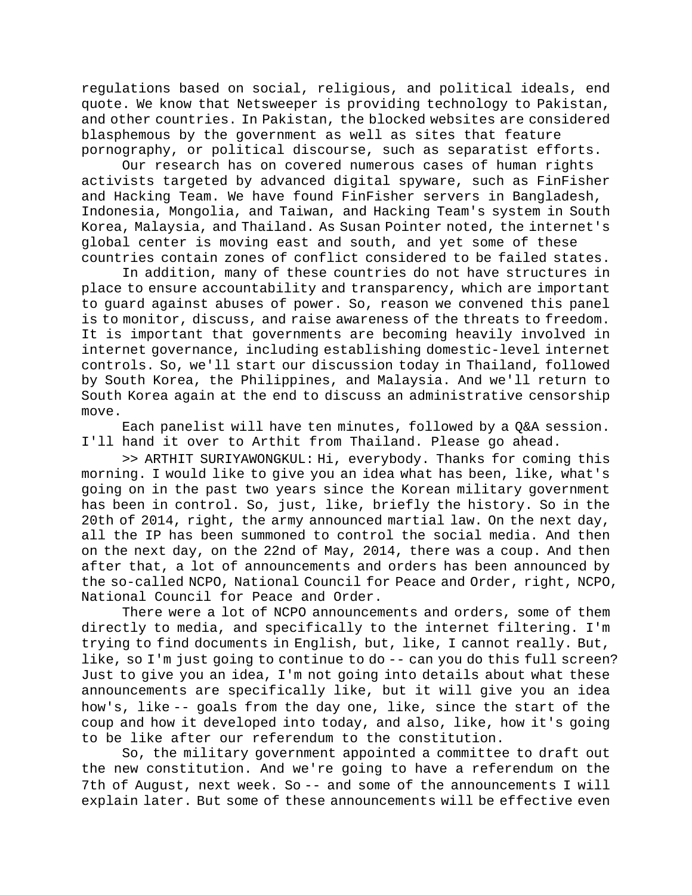regulations based on social, religious, and political ideals, end quote. We know that Netsweeper is providing technology to Pakistan, and other countries. In Pakistan, the blocked websites are considered blasphemous by the government as well as sites that feature pornography, or political discourse, such as separatist efforts.

Our research has on covered numerous cases of human rights activists targeted by advanced digital spyware, such as FinFisher and Hacking Team. We have found FinFisher servers in Bangladesh, Indonesia, Mongolia, and Taiwan, and Hacking Team's system in South Korea, Malaysia, and Thailand. As Susan Pointer noted, the internet's global center is moving east and south, and yet some of these countries contain zones of conflict considered to be failed states.

In addition, many of these countries do not have structures in place to ensure accountability and transparency, which are important to guard against abuses of power. So, reason we convened this panel is to monitor, discuss, and raise awareness of the threats to freedom. It is important that governments are becoming heavily involved in internet governance, including establishing domestic-level internet controls. So, we'll start our discussion today in Thailand, followed by South Korea, the Philippines, and Malaysia. And we'll return to South Korea again at the end to discuss an administrative censorship move.

Each panelist will have ten minutes, followed by a Q&A session. I'll hand it over to Arthit from Thailand. Please go ahead.

>> ARTHIT SURIYAWONGKUL: Hi, everybody. Thanks for coming this morning. I would like to give you an idea what has been, like, what's going on in the past two years since the Korean military government has been in control. So, just, like, briefly the history. So in the 20th of 2014, right, the army announced martial law. On the next day, all the IP has been summoned to control the social media. And then on the next day, on the 22nd of May, 2014, there was a coup. And then after that, a lot of announcements and orders has been announced by the so-called NCPO, National Council for Peace and Order, right, NCPO, National Council for Peace and Order.

There were a lot of NCPO announcements and orders, some of them directly to media, and specifically to the internet filtering. I'm trying to find documents in English, but, like, I cannot really. But, like, so I'm just going to continue to do -- can you do this full screen? Just to give you an idea, I'm not going into details about what these announcements are specifically like, but it will give you an idea how's, like -- goals from the day one, like, since the start of the coup and how it developed into today, and also, like, how it's going to be like after our referendum to the constitution.

So, the military government appointed a committee to draft out the new constitution. And we're going to have a referendum on the 7th of August, next week. So -- and some of the announcements I will explain later. But some of these announcements will be effective even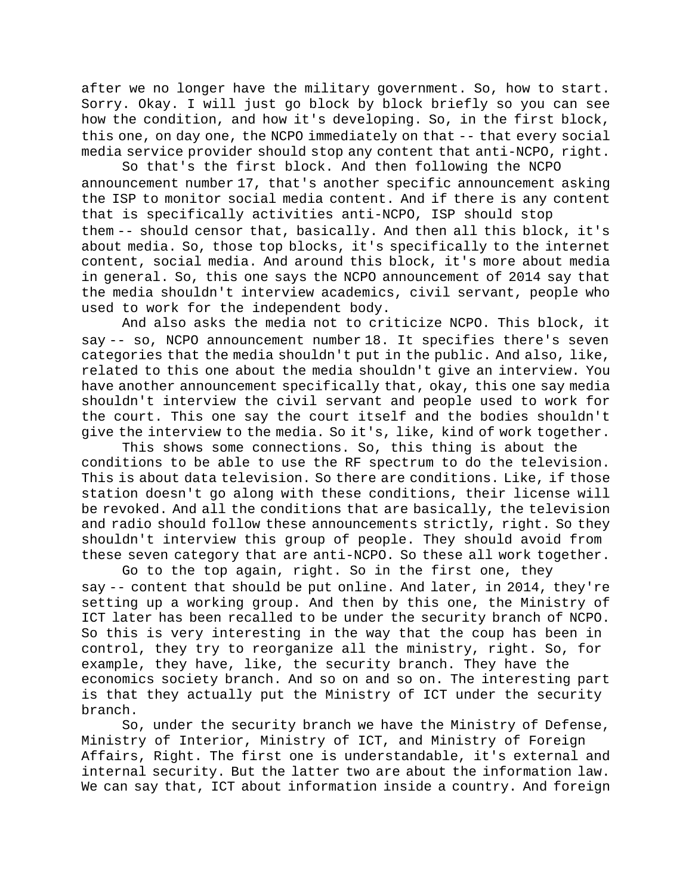after we no longer have the military government. So, how to start. Sorry. Okay. I will just go block by block briefly so you can see how the condition, and how it's developing. So, in the first block, this one, on day one, the NCPO immediately on that -- that every social media service provider should stop any content that anti-NCPO, right.

So that's the first block. And then following the NCPO announcement number 17, that's another specific announcement asking the ISP to monitor social media content. And if there is any content that is specifically activities anti-NCPO, ISP should stop them -- should censor that, basically. And then all this block, it's about media. So, those top blocks, it's specifically to the internet content, social media. And around this block, it's more about media in general. So, this one says the NCPO announcement of 2014 say that the media shouldn't interview academics, civil servant, people who used to work for the independent body.

And also asks the media not to criticize NCPO. This block, it say -- so, NCPO announcement number 18. It specifies there's seven categories that the media shouldn't put in the public. And also, like, related to this one about the media shouldn't give an interview. You have another announcement specifically that, okay, this one say media shouldn't interview the civil servant and people used to work for the court. This one say the court itself and the bodies shouldn't give the interview to the media. So it's, like, kind of work together.

This shows some connections. So, this thing is about the conditions to be able to use the RF spectrum to do the television. This is about data television. So there are conditions. Like, if those station doesn't go along with these conditions, their license will be revoked. And all the conditions that are basically, the television and radio should follow these announcements strictly, right. So they shouldn't interview this group of people. They should avoid from these seven category that are anti-NCPO. So these all work together.

Go to the top again, right. So in the first one, they say -- content that should be put online. And later, in 2014, they're setting up a working group. And then by this one, the Ministry of ICT later has been recalled to be under the security branch of NCPO. So this is very interesting in the way that the coup has been in control, they try to reorganize all the ministry, right. So, for example, they have, like, the security branch. They have the economics society branch. And so on and so on. The interesting part is that they actually put the Ministry of ICT under the security branch.

So, under the security branch we have the Ministry of Defense, Ministry of Interior, Ministry of ICT, and Ministry of Foreign Affairs, Right. The first one is understandable, it's external and internal security. But the latter two are about the information law. We can say that, ICT about information inside a country. And foreign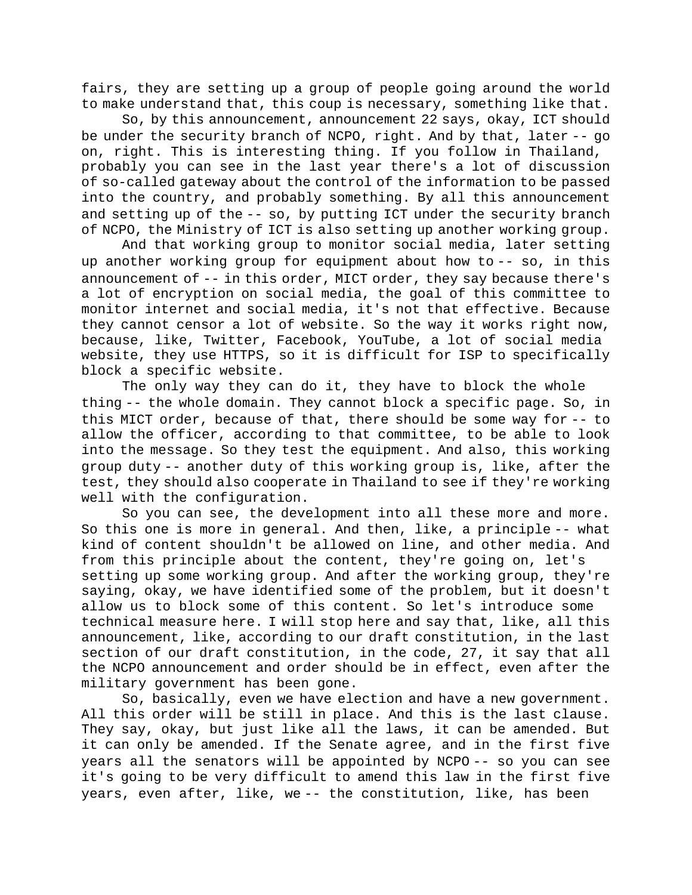fairs, they are setting up a group of people going around the world to make understand that, this coup is necessary, something like that.

So, by this announcement, announcement 22 says, okay, ICT should be under the security branch of NCPO, right. And by that, later -- go on, right. This is interesting thing. If you follow in Thailand, probably you can see in the last year there's a lot of discussion of so-called gateway about the control of the information to be passed into the country, and probably something. By all this announcement and setting up of the -- so, by putting ICT under the security branch of NCPO, the Ministry of ICT is also setting up another working group.

And that working group to monitor social media, later setting up another working group for equipment about how to -- so, in this announcement of -- in this order, MICT order, they say because there's a lot of encryption on social media, the goal of this committee to monitor internet and social media, it's not that effective. Because they cannot censor a lot of website. So the way it works right now, because, like, Twitter, Facebook, YouTube, a lot of social media website, they use HTTPS, so it is difficult for ISP to specifically block a specific website.

The only way they can do it, they have to block the whole thing -- the whole domain. They cannot block a specific page. So, in this MICT order, because of that, there should be some way for -- to allow the officer, according to that committee, to be able to look into the message. So they test the equipment. And also, this working group duty -- another duty of this working group is, like, after the test, they should also cooperate in Thailand to see if they're working well with the configuration.

So you can see, the development into all these more and more. So this one is more in general. And then, like, a principle -- what kind of content shouldn't be allowed on line, and other media. And from this principle about the content, they're going on, let's setting up some working group. And after the working group, they're saying, okay, we have identified some of the problem, but it doesn't allow us to block some of this content. So let's introduce some technical measure here. I will stop here and say that, like, all this announcement, like, according to our draft constitution, in the last section of our draft constitution, in the code, 27, it say that all the NCPO announcement and order should be in effect, even after the military government has been gone.

So, basically, even we have election and have a new government. All this order will be still in place. And this is the last clause. They say, okay, but just like all the laws, it can be amended. But it can only be amended. If the Senate agree, and in the first five years all the senators will be appointed by NCPO -- so you can see it's going to be very difficult to amend this law in the first five years, even after, like, we -- the constitution, like, has been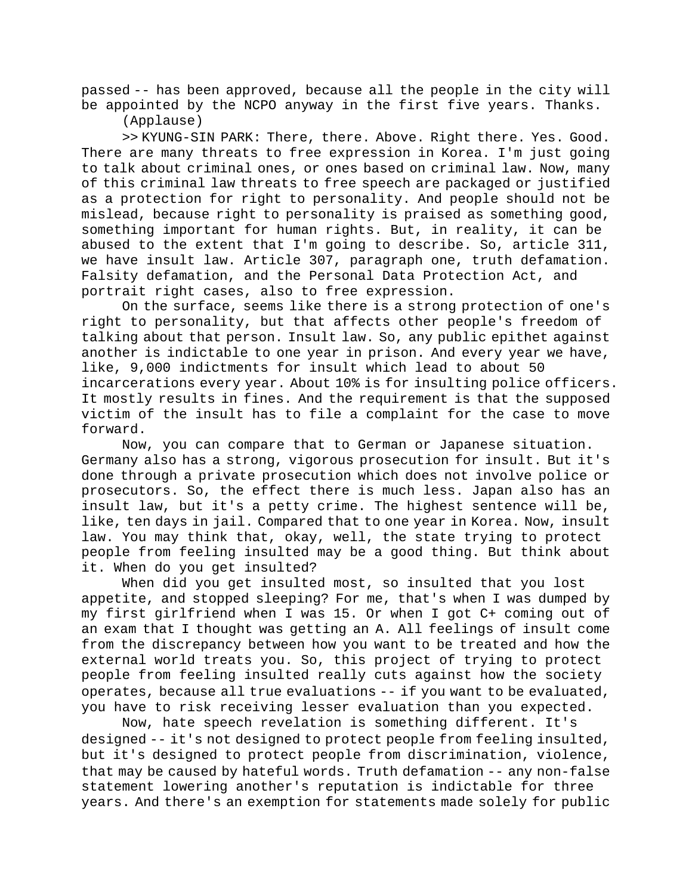passed -- has been approved, because all the people in the city will be appointed by the NCPO anyway in the first five years. Thanks.

(Applause)

>> KYUNG-SIN PARK: There, there. Above. Right there. Yes. Good. There are many threats to free expression in Korea. I'm just going to talk about criminal ones, or ones based on criminal law. Now, many of this criminal law threats to free speech are packaged or justified as a protection for right to personality. And people should not be mislead, because right to personality is praised as something good, something important for human rights. But, in reality, it can be abused to the extent that I'm going to describe. So, article 311, we have insult law. Article 307, paragraph one, truth defamation. Falsity defamation, and the Personal Data Protection Act, and portrait right cases, also to free expression.

On the surface, seems like there is a strong protection of one's right to personality, but that affects other people's freedom of talking about that person. Insult law. So, any public epithet against another is indictable to one year in prison. And every year we have, like, 9,000 indictments for insult which lead to about 50 incarcerations every year. About 10% is for insulting police officers. It mostly results in fines. And the requirement is that the supposed victim of the insult has to file a complaint for the case to move forward.

Now, you can compare that to German or Japanese situation. Germany also has a strong, vigorous prosecution for insult. But it's done through a private prosecution which does not involve police or prosecutors. So, the effect there is much less. Japan also has an insult law, but it's a petty crime. The highest sentence will be, like, ten days in jail. Compared that to one year in Korea. Now, insult law. You may think that, okay, well, the state trying to protect people from feeling insulted may be a good thing. But think about it. When do you get insulted?

When did you get insulted most, so insulted that you lost appetite, and stopped sleeping? For me, that's when I was dumped by my first girlfriend when I was 15. Or when I got C+ coming out of an exam that I thought was getting an A. All feelings of insult come from the discrepancy between how you want to be treated and how the external world treats you. So, this project of trying to protect people from feeling insulted really cuts against how the society operates, because all true evaluations -- if you want to be evaluated, you have to risk receiving lesser evaluation than you expected.

Now, hate speech revelation is something different. It's designed -- it's not designed to protect people from feeling insulted, but it's designed to protect people from discrimination, violence, that may be caused by hateful words. Truth defamation -- any non-false statement lowering another's reputation is indictable for three years. And there's an exemption for statements made solely for public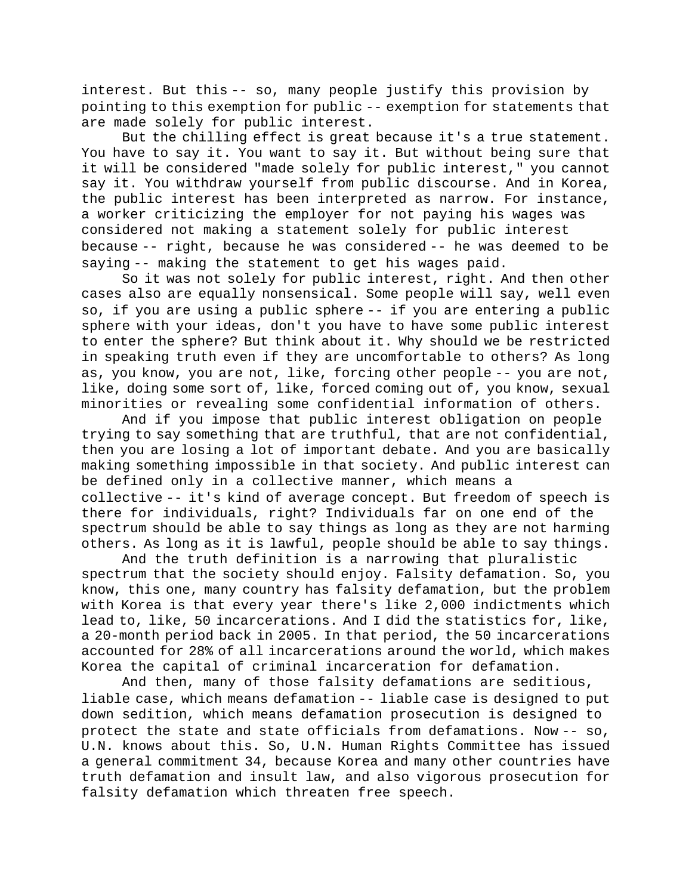interest. But this -- so, many people justify this provision by pointing to this exemption for public -- exemption for statements that are made solely for public interest.

But the chilling effect is great because it's a true statement. You have to say it. You want to say it. But without being sure that it will be considered "made solely for public interest," you cannot say it. You withdraw yourself from public discourse. And in Korea, the public interest has been interpreted as narrow. For instance, a worker criticizing the employer for not paying his wages was considered not making a statement solely for public interest because -- right, because he was considered -- he was deemed to be saying -- making the statement to get his wages paid.

So it was not solely for public interest, right. And then other cases also are equally nonsensical. Some people will say, well even so, if you are using a public sphere -- if you are entering a public sphere with your ideas, don't you have to have some public interest to enter the sphere? But think about it. Why should we be restricted in speaking truth even if they are uncomfortable to others? As long as, you know, you are not, like, forcing other people -- you are not, like, doing some sort of, like, forced coming out of, you know, sexual minorities or revealing some confidential information of others.

And if you impose that public interest obligation on people trying to say something that are truthful, that are not confidential, then you are losing a lot of important debate. And you are basically making something impossible in that society. And public interest can be defined only in a collective manner, which means a collective -- it's kind of average concept. But freedom of speech is there for individuals, right? Individuals far on one end of the spectrum should be able to say things as long as they are not harming others. As long as it is lawful, people should be able to say things.

And the truth definition is a narrowing that pluralistic spectrum that the society should enjoy. Falsity defamation. So, you know, this one, many country has falsity defamation, but the problem with Korea is that every year there's like 2,000 indictments which lead to, like, 50 incarcerations. And I did the statistics for, like, a 20-month period back in 2005. In that period, the 50 incarcerations accounted for 28% of all incarcerations around the world, which makes Korea the capital of criminal incarceration for defamation.

And then, many of those falsity defamations are seditious, liable case, which means defamation -- liable case is designed to put down sedition, which means defamation prosecution is designed to protect the state and state officials from defamations. Now -- so, U.N. knows about this. So, U.N. Human Rights Committee has issued a general commitment 34, because Korea and many other countries have truth defamation and insult law, and also vigorous prosecution for falsity defamation which threaten free speech.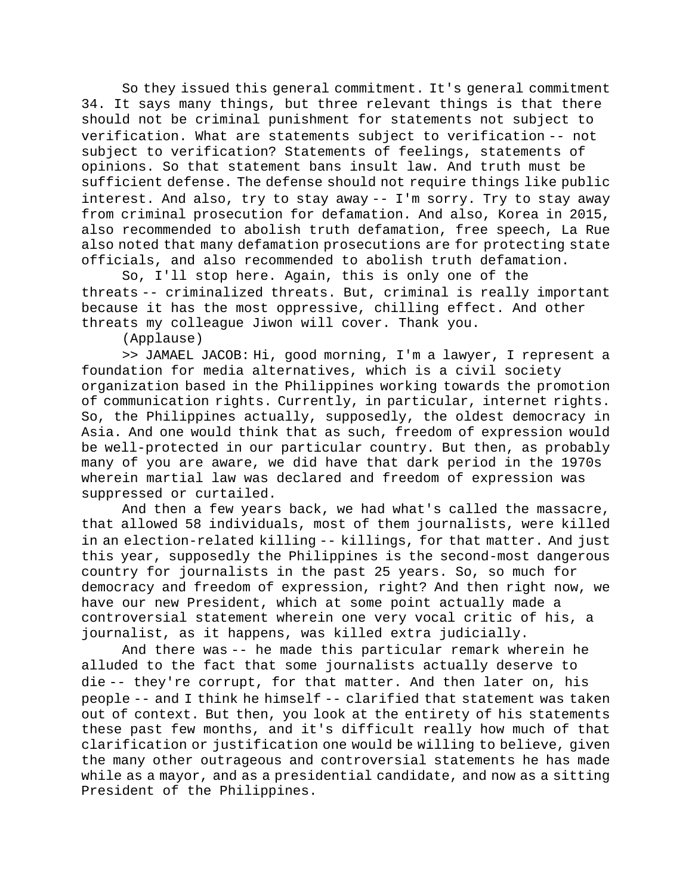So they issued this general commitment. It's general commitment 34. It says many things, but three relevant things is that there should not be criminal punishment for statements not subject to verification. What are statements subject to verification -- not subject to verification? Statements of feelings, statements of opinions. So that statement bans insult law. And truth must be sufficient defense. The defense should not require things like public interest. And also, try to stay away -- I'm sorry. Try to stay away from criminal prosecution for defamation. And also, Korea in 2015, also recommended to abolish truth defamation, free speech, La Rue also noted that many defamation prosecutions are for protecting state officials, and also recommended to abolish truth defamation.

So, I'll stop here. Again, this is only one of the threats -- criminalized threats. But, criminal is really important because it has the most oppressive, chilling effect. And other threats my colleague Jiwon will cover. Thank you.

(Applause)

>> JAMAEL JACOB: Hi, good morning, I'm a lawyer, I represent a foundation for media alternatives, which is a civil society organization based in the Philippines working towards the promotion of communication rights. Currently, in particular, internet rights. So, the Philippines actually, supposedly, the oldest democracy in Asia. And one would think that as such, freedom of expression would be well-protected in our particular country. But then, as probably many of you are aware, we did have that dark period in the 1970s wherein martial law was declared and freedom of expression was suppressed or curtailed.

And then a few years back, we had what's called the massacre, that allowed 58 individuals, most of them journalists, were killed in an election-related killing -- killings, for that matter. And just this year, supposedly the Philippines is the second-most dangerous country for journalists in the past 25 years. So, so much for democracy and freedom of expression, right? And then right now, we have our new President, which at some point actually made a controversial statement wherein one very vocal critic of his, a journalist, as it happens, was killed extra judicially.

And there was -- he made this particular remark wherein he alluded to the fact that some journalists actually deserve to die -- they're corrupt, for that matter. And then later on, his people -- and I think he himself -- clarified that statement was taken out of context. But then, you look at the entirety of his statements these past few months, and it's difficult really how much of that clarification or justification one would be willing to believe, given the many other outrageous and controversial statements he has made while as a mayor, and as a presidential candidate, and now as a sitting President of the Philippines.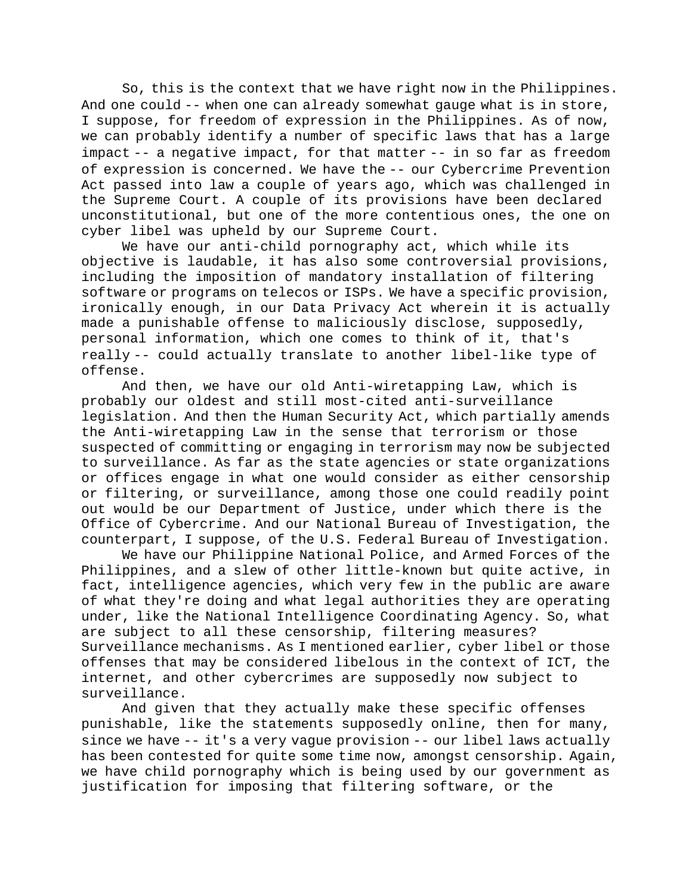So, this is the context that we have right now in the Philippines. And one could -- when one can already somewhat gauge what is in store, I suppose, for freedom of expression in the Philippines. As of now, we can probably identify a number of specific laws that has a large impact -- a negative impact, for that matter -- in so far as freedom of expression is concerned. We have the -- our Cybercrime Prevention Act passed into law a couple of years ago, which was challenged in the Supreme Court. A couple of its provisions have been declared unconstitutional, but one of the more contentious ones, the one on cyber libel was upheld by our Supreme Court.

We have our anti-child pornography act, which while its objective is laudable, it has also some controversial provisions, including the imposition of mandatory installation of filtering software or programs on telecos or ISPs. We have a specific provision, ironically enough, in our Data Privacy Act wherein it is actually made a punishable offense to maliciously disclose, supposedly, personal information, which one comes to think of it, that's really -- could actually translate to another libel-like type of offense.

And then, we have our old Anti-wiretapping Law, which is probably our oldest and still most-cited anti-surveillance legislation. And then the Human Security Act, which partially amends the Anti-wiretapping Law in the sense that terrorism or those suspected of committing or engaging in terrorism may now be subjected to surveillance. As far as the state agencies or state organizations or offices engage in what one would consider as either censorship or filtering, or surveillance, among those one could readily point out would be our Department of Justice, under which there is the Office of Cybercrime. And our National Bureau of Investigation, the counterpart, I suppose, of the U.S. Federal Bureau of Investigation.

We have our Philippine National Police, and Armed Forces of the Philippines, and a slew of other little-known but quite active, in fact, intelligence agencies, which very few in the public are aware of what they're doing and what legal authorities they are operating under, like the National Intelligence Coordinating Agency. So, what are subject to all these censorship, filtering measures? Surveillance mechanisms. As I mentioned earlier, cyber libel or those offenses that may be considered libelous in the context of ICT, the internet, and other cybercrimes are supposedly now subject to surveillance.

And given that they actually make these specific offenses punishable, like the statements supposedly online, then for many, since we have -- it's a very vague provision -- our libel laws actually has been contested for quite some time now, amongst censorship. Again, we have child pornography which is being used by our government as justification for imposing that filtering software, or the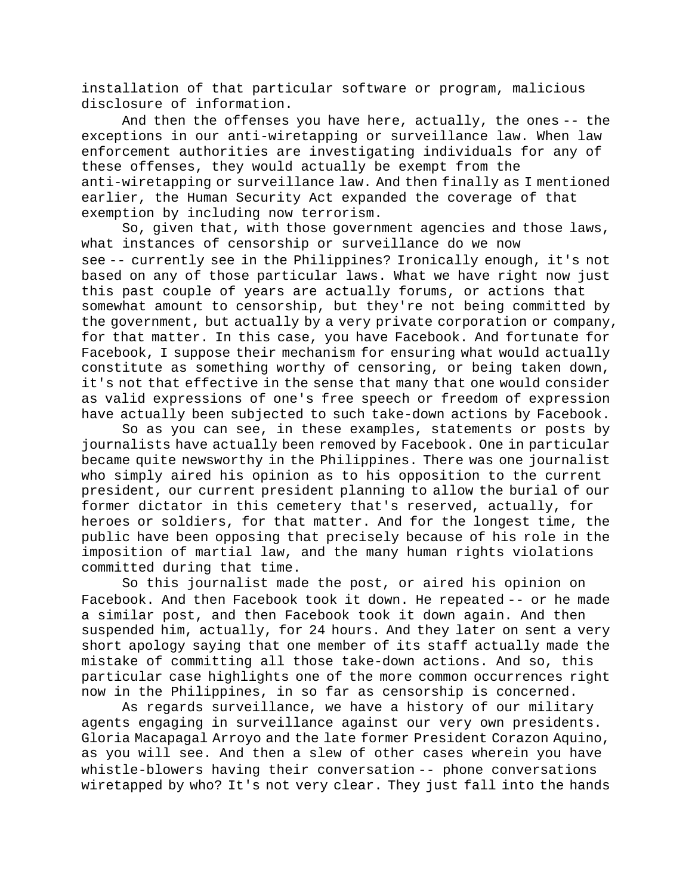installation of that particular software or program, malicious disclosure of information.

And then the offenses you have here, actually, the ones -- the exceptions in our anti-wiretapping or surveillance law. When law enforcement authorities are investigating individuals for any of these offenses, they would actually be exempt from the anti-wiretapping or surveillance law. And then finally as I mentioned earlier, the Human Security Act expanded the coverage of that exemption by including now terrorism.

So, given that, with those government agencies and those laws, what instances of censorship or surveillance do we now see -- currently see in the Philippines? Ironically enough, it's not based on any of those particular laws. What we have right now just this past couple of years are actually forums, or actions that somewhat amount to censorship, but they're not being committed by the government, but actually by a very private corporation or company, for that matter. In this case, you have Facebook. And fortunate for Facebook, I suppose their mechanism for ensuring what would actually constitute as something worthy of censoring, or being taken down, it's not that effective in the sense that many that one would consider as valid expressions of one's free speech or freedom of expression have actually been subjected to such take-down actions by Facebook.

So as you can see, in these examples, statements or posts by journalists have actually been removed by Facebook. One in particular became quite newsworthy in the Philippines. There was one journalist who simply aired his opinion as to his opposition to the current president, our current president planning to allow the burial of our former dictator in this cemetery that's reserved, actually, for heroes or soldiers, for that matter. And for the longest time, the public have been opposing that precisely because of his role in the imposition of martial law, and the many human rights violations committed during that time.

So this journalist made the post, or aired his opinion on Facebook. And then Facebook took it down. He repeated -- or he made a similar post, and then Facebook took it down again. And then suspended him, actually, for 24 hours. And they later on sent a very short apology saying that one member of its staff actually made the mistake of committing all those take-down actions. And so, this particular case highlights one of the more common occurrences right now in the Philippines, in so far as censorship is concerned.

As regards surveillance, we have a history of our military agents engaging in surveillance against our very own presidents. Gloria Macapagal Arroyo and the late former President Corazon Aquino, as you will see. And then a slew of other cases wherein you have whistle-blowers having their conversation -- phone conversations wiretapped by who? It's not very clear. They just fall into the hands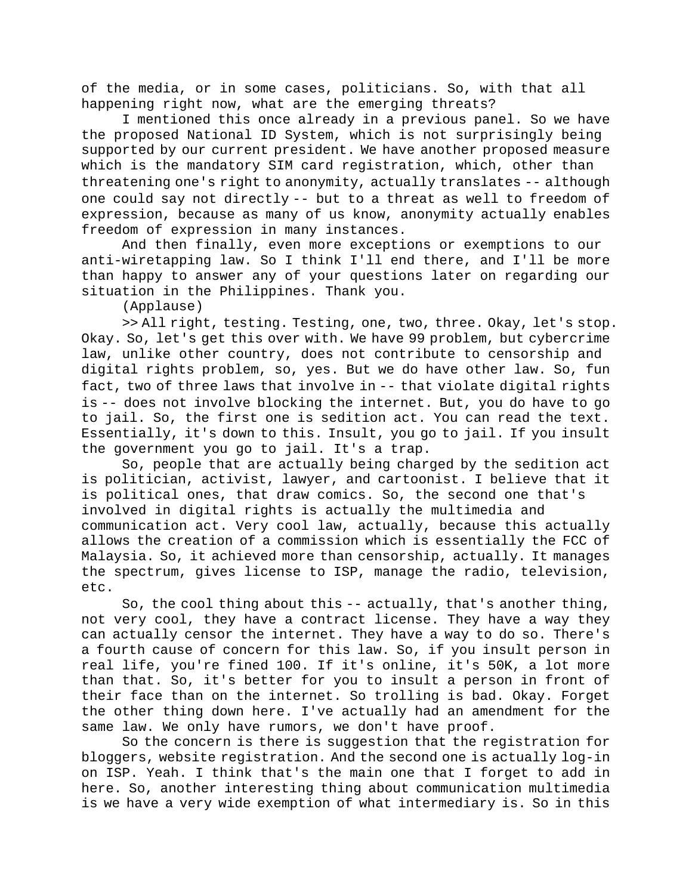of the media, or in some cases, politicians. So, with that all happening right now, what are the emerging threats?

I mentioned this once already in a previous panel. So we have the proposed National ID System, which is not surprisingly being supported by our current president. We have another proposed measure which is the mandatory SIM card registration, which, other than threatening one's right to anonymity, actually translates -- although one could say not directly -- but to a threat as well to freedom of expression, because as many of us know, anonymity actually enables freedom of expression in many instances.

And then finally, even more exceptions or exemptions to our anti-wiretapping law. So I think I'll end there, and I'll be more than happy to answer any of your questions later on regarding our situation in the Philippines. Thank you.

(Applause)

>> All right, testing. Testing, one, two, three. Okay, let's stop. Okay. So, let's get this over with. We have 99 problem, but cybercrime law, unlike other country, does not contribute to censorship and digital rights problem, so, yes. But we do have other law. So, fun fact, two of three laws that involve in -- that violate digital rights is -- does not involve blocking the internet. But, you do have to go to jail. So, the first one is sedition act. You can read the text. Essentially, it's down to this. Insult, you go to jail. If you insult the government you go to jail. It's a trap.

So, people that are actually being charged by the sedition act is politician, activist, lawyer, and cartoonist. I believe that it is political ones, that draw comics. So, the second one that's involved in digital rights is actually the multimedia and communication act. Very cool law, actually, because this actually allows the creation of a commission which is essentially the FCC of Malaysia. So, it achieved more than censorship, actually. It manages the spectrum, gives license to ISP, manage the radio, television, etc.

So, the cool thing about this -- actually, that's another thing, not very cool, they have a contract license. They have a way they can actually censor the internet. They have a way to do so. There's a fourth cause of concern for this law. So, if you insult person in real life, you're fined 100. If it's online, it's 50K, a lot more than that. So, it's better for you to insult a person in front of their face than on the internet. So trolling is bad. Okay. Forget the other thing down here. I've actually had an amendment for the same law. We only have rumors, we don't have proof.

So the concern is there is suggestion that the registration for bloggers, website registration. And the second one is actually log-in on ISP. Yeah. I think that's the main one that I forget to add in here. So, another interesting thing about communication multimedia is we have a very wide exemption of what intermediary is. So in this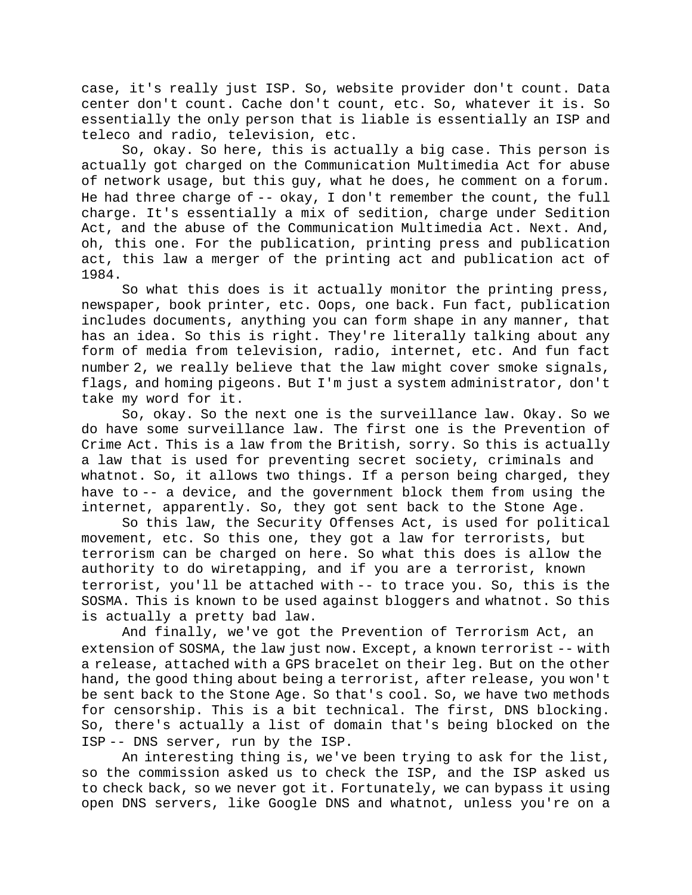case, it's really just ISP. So, website provider don't count. Data center don't count. Cache don't count, etc. So, whatever it is. So essentially the only person that is liable is essentially an ISP and teleco and radio, television, etc.

So, okay. So here, this is actually a big case. This person is actually got charged on the Communication Multimedia Act for abuse of network usage, but this guy, what he does, he comment on a forum. He had three charge of -- okay, I don't remember the count, the full charge. It's essentially a mix of sedition, charge under Sedition Act, and the abuse of the Communication Multimedia Act. Next. And, oh, this one. For the publication, printing press and publication act, this law a merger of the printing act and publication act of 1984.

So what this does is it actually monitor the printing press, newspaper, book printer, etc. Oops, one back. Fun fact, publication includes documents, anything you can form shape in any manner, that has an idea. So this is right. They're literally talking about any form of media from television, radio, internet, etc. And fun fact number 2, we really believe that the law might cover smoke signals, flags, and homing pigeons. But I'm just a system administrator, don't take my word for it.

So, okay. So the next one is the surveillance law. Okay. So we do have some surveillance law. The first one is the Prevention of Crime Act. This is a law from the British, sorry. So this is actually a law that is used for preventing secret society, criminals and whatnot. So, it allows two things. If a person being charged, they have to -- a device, and the government block them from using the internet, apparently. So, they got sent back to the Stone Age.

So this law, the Security Offenses Act, is used for political movement, etc. So this one, they got a law for terrorists, but terrorism can be charged on here. So what this does is allow the authority to do wiretapping, and if you are a terrorist, known terrorist, you'll be attached with -- to trace you. So, this is the SOSMA. This is known to be used against bloggers and whatnot. So this is actually a pretty bad law.

And finally, we've got the Prevention of Terrorism Act, an extension of SOSMA, the law just now. Except, a known terrorist -- with a release, attached with a GPS bracelet on their leg. But on the other hand, the good thing about being a terrorist, after release, you won't be sent back to the Stone Age. So that's cool. So, we have two methods for censorship. This is a bit technical. The first, DNS blocking. So, there's actually a list of domain that's being blocked on the ISP -- DNS server, run by the ISP.

An interesting thing is, we've been trying to ask for the list, so the commission asked us to check the ISP, and the ISP asked us to check back, so we never got it. Fortunately, we can bypass it using open DNS servers, like Google DNS and whatnot, unless you're on a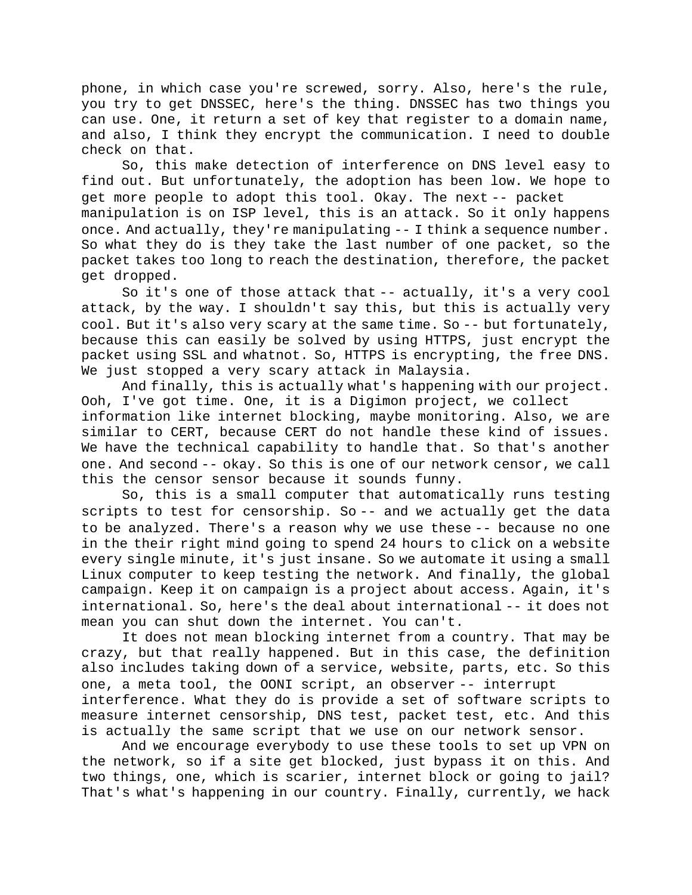phone, in which case you're screwed, sorry. Also, here's the rule, you try to get DNSSEC, here's the thing. DNSSEC has two things you can use. One, it return a set of key that register to a domain name, and also, I think they encrypt the communication. I need to double check on that.

So, this make detection of interference on DNS level easy to find out. But unfortunately, the adoption has been low. We hope to get more people to adopt this tool. Okay. The next -- packet manipulation is on ISP level, this is an attack. So it only happens once. And actually, they're manipulating -- I think a sequence number. So what they do is they take the last number of one packet, so the packet takes too long to reach the destination, therefore, the packet get dropped.

So it's one of those attack that -- actually, it's a very cool attack, by the way. I shouldn't say this, but this is actually very cool. But it's also very scary at the same time. So -- but fortunately, because this can easily be solved by using HTTPS, just encrypt the packet using SSL and whatnot. So, HTTPS is encrypting, the free DNS. We just stopped a very scary attack in Malaysia.

And finally, this is actually what's happening with our project. Ooh, I've got time. One, it is a Digimon project, we collect information like internet blocking, maybe monitoring. Also, we are similar to CERT, because CERT do not handle these kind of issues. We have the technical capability to handle that. So that's another one. And second -- okay. So this is one of our network censor, we call this the censor sensor because it sounds funny.

So, this is a small computer that automatically runs testing scripts to test for censorship. So -- and we actually get the data to be analyzed. There's a reason why we use these -- because no one in the their right mind going to spend 24 hours to click on a website every single minute, it's just insane. So we automate it using a small Linux computer to keep testing the network. And finally, the global campaign. Keep it on campaign is a project about access. Again, it's international. So, here's the deal about international -- it does not mean you can shut down the internet. You can't.

It does not mean blocking internet from a country. That may be crazy, but that really happened. But in this case, the definition also includes taking down of a service, website, parts, etc. So this one, a meta tool, the OONI script, an observer -- interrupt interference. What they do is provide a set of software scripts to measure internet censorship, DNS test, packet test, etc. And this

is actually the same script that we use on our network sensor. And we encourage everybody to use these tools to set up VPN on the network, so if a site get blocked, just bypass it on this. And two things, one, which is scarier, internet block or going to jail? That's what's happening in our country. Finally, currently, we hack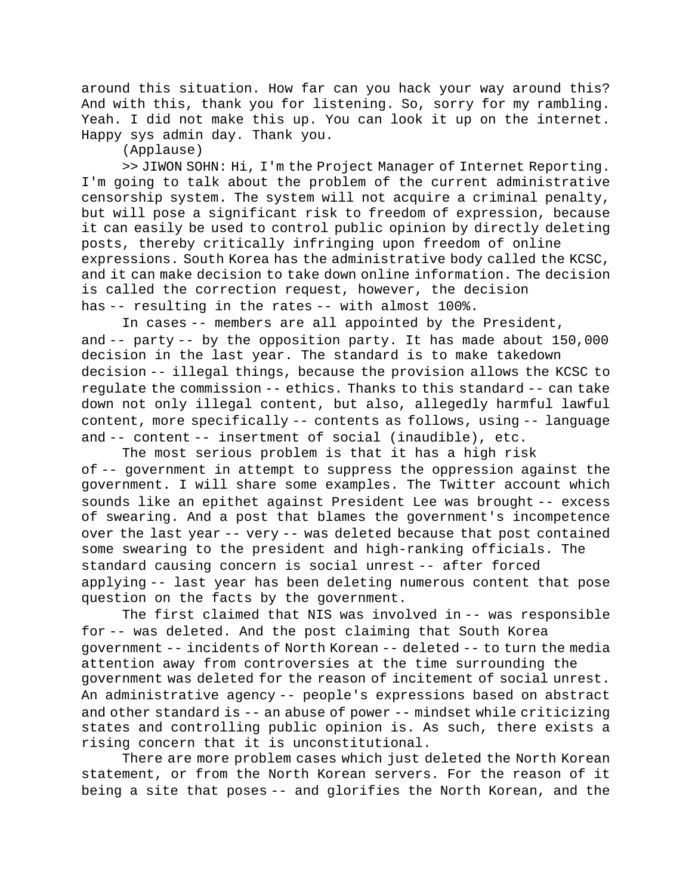around this situation. How far can you hack your way around this? And with this, thank you for listening. So, sorry for my rambling. Yeah. I did not make this up. You can look it up on the internet. Happy sys admin day. Thank you.

(Applause)

>> JIWON SOHN: Hi, I'm the Project Manager of Internet Reporting. I'm going to talk about the problem of the current administrative censorship system. The system will not acquire a criminal penalty, but will pose a significant risk to freedom of expression, because it can easily be used to control public opinion by directly deleting posts, thereby critically infringing upon freedom of online expressions. South Korea has the administrative body called the KCSC, and it can make decision to take down online information. The decision is called the correction request, however, the decision has -- resulting in the rates -- with almost 100%.

In cases -- members are all appointed by the President, and -- party -- by the opposition party. It has made about 150,000 decision in the last year. The standard is to make takedown decision -- illegal things, because the provision allows the KCSC to regulate the commission -- ethics. Thanks to this standard -- can take down not only illegal content, but also, allegedly harmful lawful content, more specifically -- contents as follows, using -- language and -- content -- insertment of social (inaudible), etc.

The most serious problem is that it has a high risk of -- government in attempt to suppress the oppression against the government. I will share some examples. The Twitter account which sounds like an epithet against President Lee was brought -- excess of swearing. And a post that blames the government's incompetence over the last year -- very -- was deleted because that post contained some swearing to the president and high-ranking officials. The standard causing concern is social unrest -- after forced applying -- last year has been deleting numerous content that pose question on the facts by the government.

The first claimed that NIS was involved in -- was responsible for -- was deleted. And the post claiming that South Korea government -- incidents of North Korean -- deleted -- to turn the media attention away from controversies at the time surrounding the government was deleted for the reason of incitement of social unrest. An administrative agency -- people's expressions based on abstract and other standard is -- an abuse of power -- mindset while criticizing states and controlling public opinion is. As such, there exists a rising concern that it is unconstitutional.

There are more problem cases which just deleted the North Korean statement, or from the North Korean servers. For the reason of it being a site that poses -- and glorifies the North Korean, and the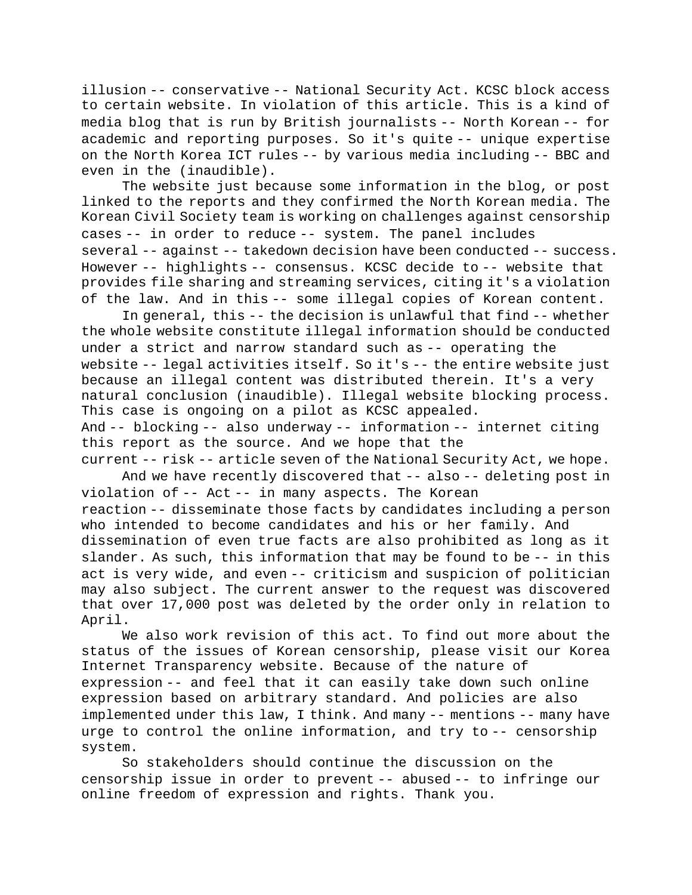illusion -- conservative -- National Security Act. KCSC block access to certain website. In violation of this article. This is a kind of media blog that is run by British journalists -- North Korean -- for academic and reporting purposes. So it's quite -- unique expertise on the North Korea ICT rules -- by various media including -- BBC and even in the (inaudible).

The website just because some information in the blog, or post linked to the reports and they confirmed the North Korean media. The Korean Civil Society team is working on challenges against censorship cases -- in order to reduce -- system. The panel includes several -- against -- takedown decision have been conducted -- success. However -- highlights -- consensus. KCSC decide to -- website that provides file sharing and streaming services, citing it's a violation of the law. And in this -- some illegal copies of Korean content.

In general, this -- the decision is unlawful that find -- whether the whole website constitute illegal information should be conducted under a strict and narrow standard such as -- operating the website -- legal activities itself. So it's -- the entire website just because an illegal content was distributed therein. It's a very natural conclusion (inaudible). Illegal website blocking process. This case is ongoing on a pilot as KCSC appealed. And -- blocking -- also underway -- information -- internet citing this report as the source. And we hope that the current -- risk -- article seven of the National Security Act, we hope.

And we have recently discovered that -- also -- deleting post in violation of -- Act -- in many aspects. The Korean reaction -- disseminate those facts by candidates including a person who intended to become candidates and his or her family. And dissemination of even true facts are also prohibited as long as it slander. As such, this information that may be found to be -- in this act is very wide, and even -- criticism and suspicion of politician may also subject. The current answer to the request was discovered that over 17,000 post was deleted by the order only in relation to April.

We also work revision of this act. To find out more about the status of the issues of Korean censorship, please visit our Korea Internet Transparency website. Because of the nature of expression -- and feel that it can easily take down such online expression based on arbitrary standard. And policies are also implemented under this law, I think. And many -- mentions -- many have urge to control the online information, and try to -- censorship system.

So stakeholders should continue the discussion on the censorship issue in order to prevent -- abused -- to infringe our online freedom of expression and rights. Thank you.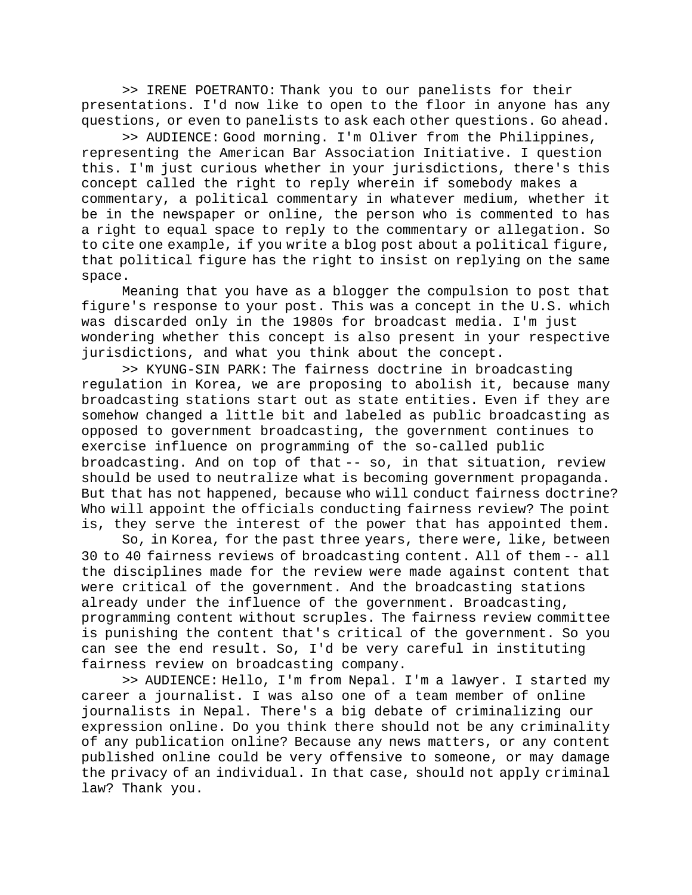>> IRENE POETRANTO: Thank you to our panelists for their presentations. I'd now like to open to the floor in anyone has any questions, or even to panelists to ask each other questions. Go ahead.

>> AUDIENCE: Good morning. I'm Oliver from the Philippines, representing the American Bar Association Initiative. I question this. I'm just curious whether in your jurisdictions, there's this concept called the right to reply wherein if somebody makes a commentary, a political commentary in whatever medium, whether it be in the newspaper or online, the person who is commented to has a right to equal space to reply to the commentary or allegation. So to cite one example, if you write a blog post about a political figure, that political figure has the right to insist on replying on the same space.

Meaning that you have as a blogger the compulsion to post that figure's response to your post. This was a concept in the U.S. which was discarded only in the 1980s for broadcast media. I'm just wondering whether this concept is also present in your respective jurisdictions, and what you think about the concept.

>> KYUNG-SIN PARK: The fairness doctrine in broadcasting regulation in Korea, we are proposing to abolish it, because many broadcasting stations start out as state entities. Even if they are somehow changed a little bit and labeled as public broadcasting as opposed to government broadcasting, the government continues to exercise influence on programming of the so-called public broadcasting. And on top of that -- so, in that situation, review should be used to neutralize what is becoming government propaganda. But that has not happened, because who will conduct fairness doctrine? Who will appoint the officials conducting fairness review? The point is, they serve the interest of the power that has appointed them.

So, in Korea, for the past three years, there were, like, between 30 to 40 fairness reviews of broadcasting content. All of them -- all the disciplines made for the review were made against content that were critical of the government. And the broadcasting stations already under the influence of the government. Broadcasting, programming content without scruples. The fairness review committee is punishing the content that's critical of the government. So you can see the end result. So, I'd be very careful in instituting fairness review on broadcasting company.

>> AUDIENCE: Hello, I'm from Nepal. I'm a lawyer. I started my career a journalist. I was also one of a team member of online journalists in Nepal. There's a big debate of criminalizing our expression online. Do you think there should not be any criminality of any publication online? Because any news matters, or any content published online could be very offensive to someone, or may damage the privacy of an individual. In that case, should not apply criminal law? Thank you.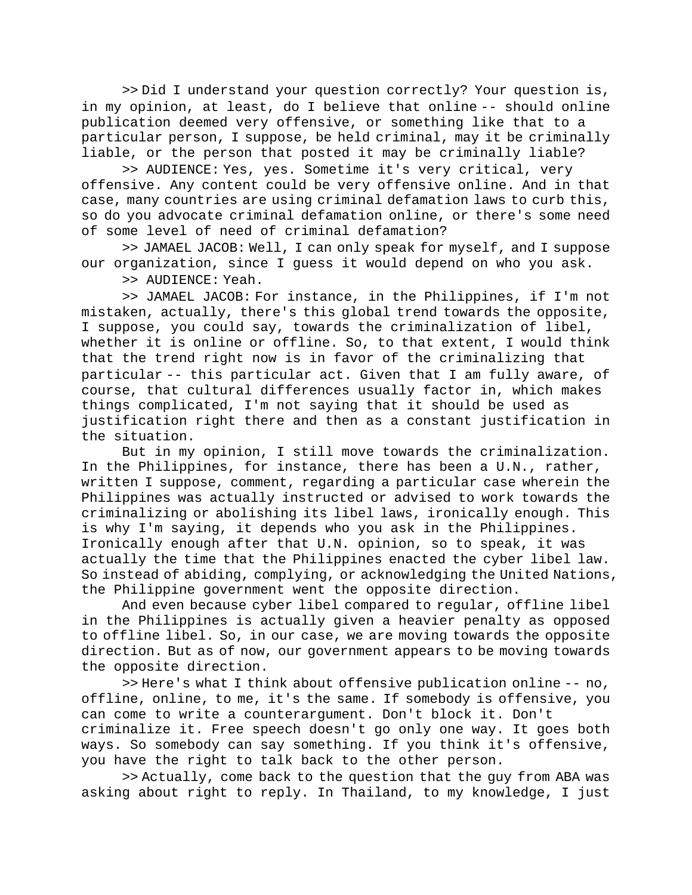>> Did I understand your question correctly? Your question is, in my opinion, at least, do I believe that online -- should online publication deemed very offensive, or something like that to a particular person, I suppose, be held criminal, may it be criminally liable, or the person that posted it may be criminally liable?

>> AUDIENCE: Yes, yes. Sometime it's very critical, very offensive. Any content could be very offensive online. And in that case, many countries are using criminal defamation laws to curb this, so do you advocate criminal defamation online, or there's some need of some level of need of criminal defamation?

>> JAMAEL JACOB: Well, I can only speak for myself, and I suppose our organization, since I guess it would depend on who you ask.

>> AUDIENCE: Yeah.

>> JAMAEL JACOB: For instance, in the Philippines, if I'm not mistaken, actually, there's this global trend towards the opposite, I suppose, you could say, towards the criminalization of libel, whether it is online or offline. So, to that extent, I would think that the trend right now is in favor of the criminalizing that particular -- this particular act. Given that I am fully aware, of course, that cultural differences usually factor in, which makes things complicated, I'm not saying that it should be used as justification right there and then as a constant justification in the situation.

But in my opinion, I still move towards the criminalization. In the Philippines, for instance, there has been a U.N., rather, written I suppose, comment, regarding a particular case wherein the Philippines was actually instructed or advised to work towards the criminalizing or abolishing its libel laws, ironically enough. This is why I'm saying, it depends who you ask in the Philippines. Ironically enough after that U.N. opinion, so to speak, it was actually the time that the Philippines enacted the cyber libel law. So instead of abiding, complying, or acknowledging the United Nations, the Philippine government went the opposite direction.

And even because cyber libel compared to regular, offline libel in the Philippines is actually given a heavier penalty as opposed to offline libel. So, in our case, we are moving towards the opposite direction. But as of now, our government appears to be moving towards the opposite direction.

>> Here's what I think about offensive publication online -- no, offline, online, to me, it's the same. If somebody is offensive, you can come to write a counterargument. Don't block it. Don't criminalize it. Free speech doesn't go only one way. It goes both ways. So somebody can say something. If you think it's offensive, you have the right to talk back to the other person.

>> Actually, come back to the question that the guy from ABA was asking about right to reply. In Thailand, to my knowledge, I just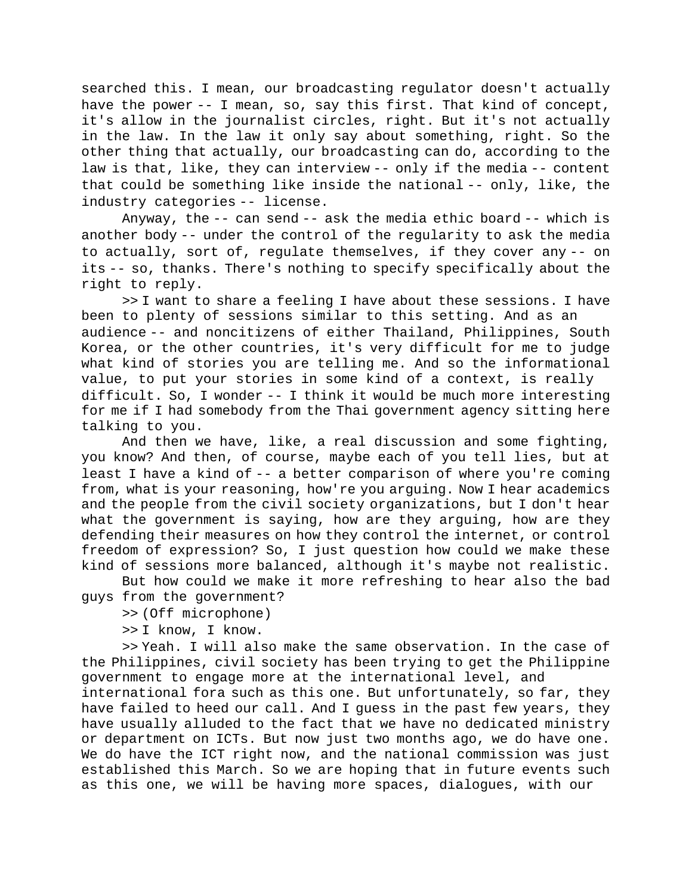searched this. I mean, our broadcasting regulator doesn't actually have the power -- I mean, so, say this first. That kind of concept, it's allow in the journalist circles, right. But it's not actually in the law. In the law it only say about something, right. So the other thing that actually, our broadcasting can do, according to the law is that, like, they can interview -- only if the media -- content that could be something like inside the national -- only, like, the industry categories -- license.

Anyway, the -- can send -- ask the media ethic board -- which is another body -- under the control of the regularity to ask the media to actually, sort of, regulate themselves, if they cover any -- on its -- so, thanks. There's nothing to specify specifically about the right to reply.

>> I want to share a feeling I have about these sessions. I have been to plenty of sessions similar to this setting. And as an audience -- and noncitizens of either Thailand, Philippines, South Korea, or the other countries, it's very difficult for me to judge what kind of stories you are telling me. And so the informational value, to put your stories in some kind of a context, is really difficult. So, I wonder -- I think it would be much more interesting for me if I had somebody from the Thai government agency sitting here talking to you.

And then we have, like, a real discussion and some fighting, you know? And then, of course, maybe each of you tell lies, but at least I have a kind of -- a better comparison of where you're coming from, what is your reasoning, how're you arguing. Now I hear academics and the people from the civil society organizations, but I don't hear what the government is saying, how are they arguing, how are they defending their measures on how they control the internet, or control freedom of expression? So, I just question how could we make these kind of sessions more balanced, although it's maybe not realistic.

But how could we make it more refreshing to hear also the bad guys from the government?

>> (Off microphone)

>> I know, I know.

>> Yeah. I will also make the same observation. In the case of the Philippines, civil society has been trying to get the Philippine government to engage more at the international level, and international fora such as this one. But unfortunately, so far, they have failed to heed our call. And I guess in the past few years, they have usually alluded to the fact that we have no dedicated ministry or department on ICTs. But now just two months ago, we do have one. We do have the ICT right now, and the national commission was just established this March. So we are hoping that in future events such as this one, we will be having more spaces, dialogues, with our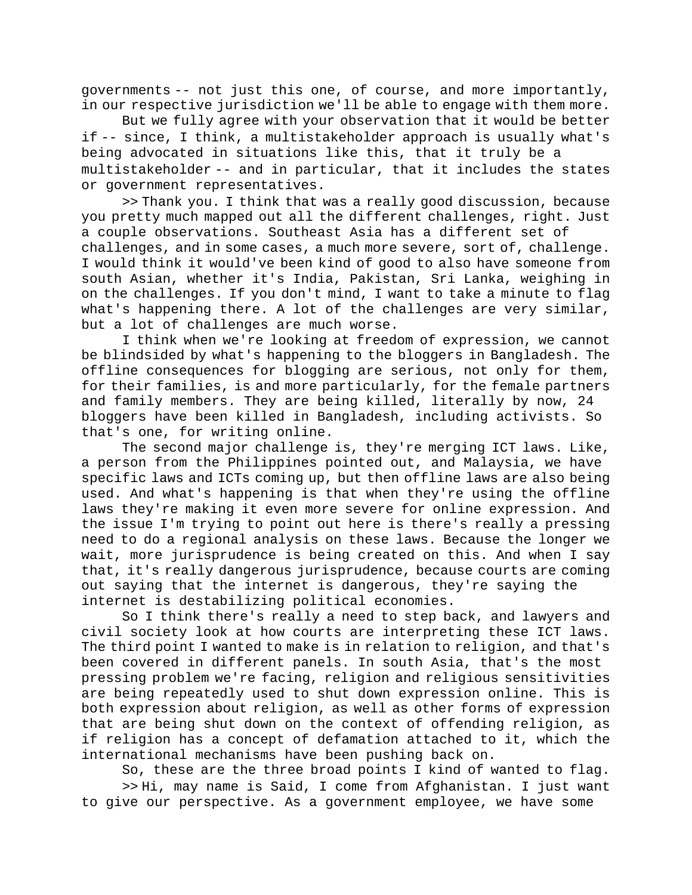governments -- not just this one, of course, and more importantly, in our respective jurisdiction we'll be able to engage with them more.

But we fully agree with your observation that it would be better if -- since, I think, a multistakeholder approach is usually what's being advocated in situations like this, that it truly be a multistakeholder -- and in particular, that it includes the states or government representatives.

>> Thank you. I think that was a really good discussion, because you pretty much mapped out all the different challenges, right. Just a couple observations. Southeast Asia has a different set of challenges, and in some cases, a much more severe, sort of, challenge. I would think it would've been kind of good to also have someone from south Asian, whether it's India, Pakistan, Sri Lanka, weighing in on the challenges. If you don't mind, I want to take a minute to flag what's happening there. A lot of the challenges are very similar, but a lot of challenges are much worse.

I think when we're looking at freedom of expression, we cannot be blindsided by what's happening to the bloggers in Bangladesh. The offline consequences for blogging are serious, not only for them, for their families, is and more particularly, for the female partners and family members. They are being killed, literally by now, 24 bloggers have been killed in Bangladesh, including activists. So that's one, for writing online.

The second major challenge is, they're merging ICT laws. Like, a person from the Philippines pointed out, and Malaysia, we have specific laws and ICTs coming up, but then offline laws are also being used. And what's happening is that when they're using the offline laws they're making it even more severe for online expression. And the issue I'm trying to point out here is there's really a pressing need to do a regional analysis on these laws. Because the longer we wait, more jurisprudence is being created on this. And when I say that, it's really dangerous jurisprudence, because courts are coming out saying that the internet is dangerous, they're saying the internet is destabilizing political economies.

So I think there's really a need to step back, and lawyers and civil society look at how courts are interpreting these ICT laws. The third point I wanted to make is in relation to religion, and that's been covered in different panels. In south Asia, that's the most pressing problem we're facing, religion and religious sensitivities are being repeatedly used to shut down expression online. This is both expression about religion, as well as other forms of expression that are being shut down on the context of offending religion, as if religion has a concept of defamation attached to it, which the international mechanisms have been pushing back on.

So, these are the three broad points I kind of wanted to flag.

>> Hi, may name is Said, I come from Afghanistan. I just want to give our perspective. As a government employee, we have some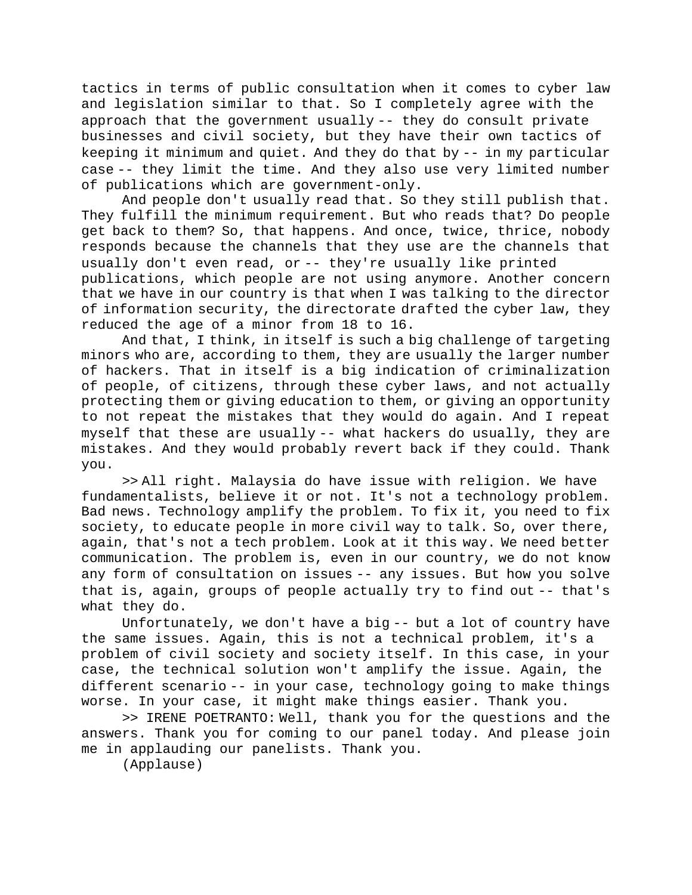tactics in terms of public consultation when it comes to cyber law and legislation similar to that. So I completely agree with the approach that the government usually -- they do consult private businesses and civil society, but they have their own tactics of keeping it minimum and quiet. And they do that by -- in my particular case -- they limit the time. And they also use very limited number of publications which are government-only.

And people don't usually read that. So they still publish that. They fulfill the minimum requirement. But who reads that? Do people get back to them? So, that happens. And once, twice, thrice, nobody responds because the channels that they use are the channels that usually don't even read, or -- they're usually like printed publications, which people are not using anymore. Another concern that we have in our country is that when I was talking to the director of information security, the directorate drafted the cyber law, they reduced the age of a minor from 18 to 16.

And that, I think, in itself is such a big challenge of targeting minors who are, according to them, they are usually the larger number of hackers. That in itself is a big indication of criminalization of people, of citizens, through these cyber laws, and not actually protecting them or giving education to them, or giving an opportunity to not repeat the mistakes that they would do again. And I repeat myself that these are usually -- what hackers do usually, they are mistakes. And they would probably revert back if they could. Thank you.

>> All right. Malaysia do have issue with religion. We have fundamentalists, believe it or not. It's not a technology problem. Bad news. Technology amplify the problem. To fix it, you need to fix society, to educate people in more civil way to talk. So, over there, again, that's not a tech problem. Look at it this way. We need better communication. The problem is, even in our country, we do not know any form of consultation on issues -- any issues. But how you solve that is, again, groups of people actually try to find out -- that's what they do.

Unfortunately, we don't have a big -- but a lot of country have the same issues. Again, this is not a technical problem, it's a problem of civil society and society itself. In this case, in your case, the technical solution won't amplify the issue. Again, the different scenario -- in your case, technology going to make things worse. In your case, it might make things easier. Thank you.

>> IRENE POETRANTO: Well, thank you for the questions and the answers. Thank you for coming to our panel today. And please join me in applauding our panelists. Thank you.

(Applause)